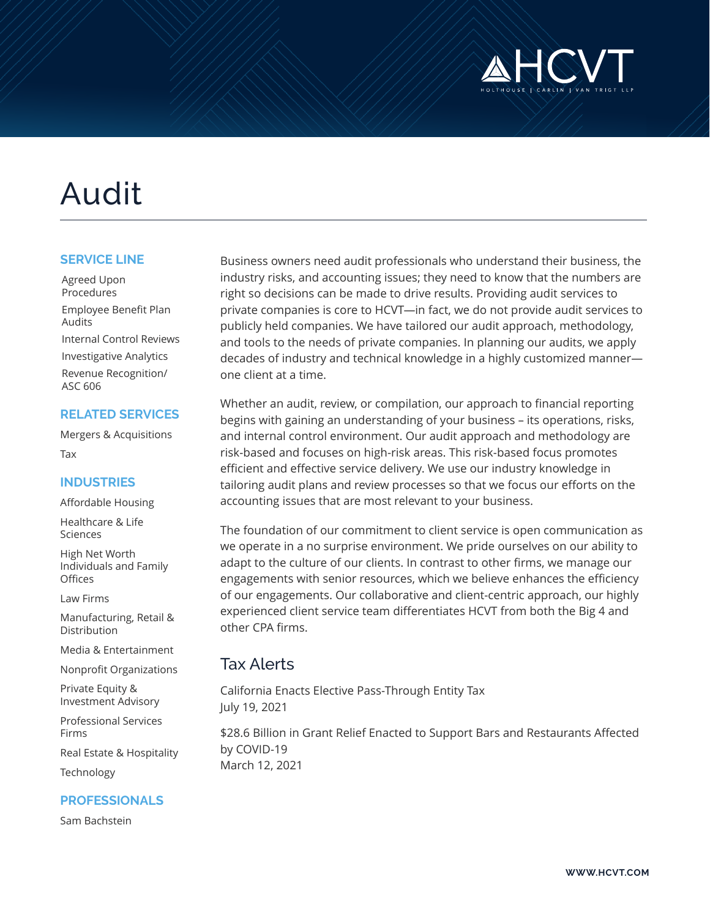

# Audit

#### **SERVICE LINE**

Agreed Upon **Procedures** Employee Benefit Plan Audits Internal Control Reviews Investigative Analytics Revenue Recognition/ ASC 606

#### **RELATED SERVICES**

Mergers & Acquisitions Tax

#### **INDUSTRIES**

Affordable Housing

Healthcare & Life Sciences

High Net Worth Individuals and Family **Offices** 

Law Firms

Manufacturing, Retail & Distribution

Media & Entertainment

Nonprofit Organizations

Private Equity & Investment Advisory

Professional Services Firms

Real Estate & Hospitality

Technology

#### **PROFESSIONALS**

Sam Bachstein

Business owners need audit professionals who understand their business, the industry risks, and accounting issues; they need to know that the numbers are right so decisions can be made to drive results. Providing audit services to private companies is core to HCVT—in fact, we do not provide audit services to publicly held companies. We have tailored our audit approach, methodology, and tools to the needs of private companies. In planning our audits, we apply decades of industry and technical knowledge in a highly customized manner one client at a time.

Whether an audit, review, or compilation, our approach to financial reporting begins with gaining an understanding of your business – its operations, risks, and internal control environment. Our audit approach and methodology are risk-based and focuses on high-risk areas. This risk-based focus promotes efficient and effective service delivery. We use our industry knowledge in tailoring audit plans and review processes so that we focus our efforts on the accounting issues that are most relevant to your business.

The foundation of our commitment to client service is open communication as we operate in a no surprise environment. We pride ourselves on our ability to adapt to the culture of our clients. In contrast to other firms, we manage our engagements with senior resources, which we believe enhances the efficiency of our engagements. Our collaborative and client-centric approach, our highly experienced client service team differentiates HCVT from both the Big 4 and other CPA firms.

## Tax Alerts

California Enacts Elective Pass-Through Entity Tax July 19, 2021

\$28.6 Billion in Grant Relief Enacted to Support Bars and Restaurants Affected by COVID-19 March 12, 2021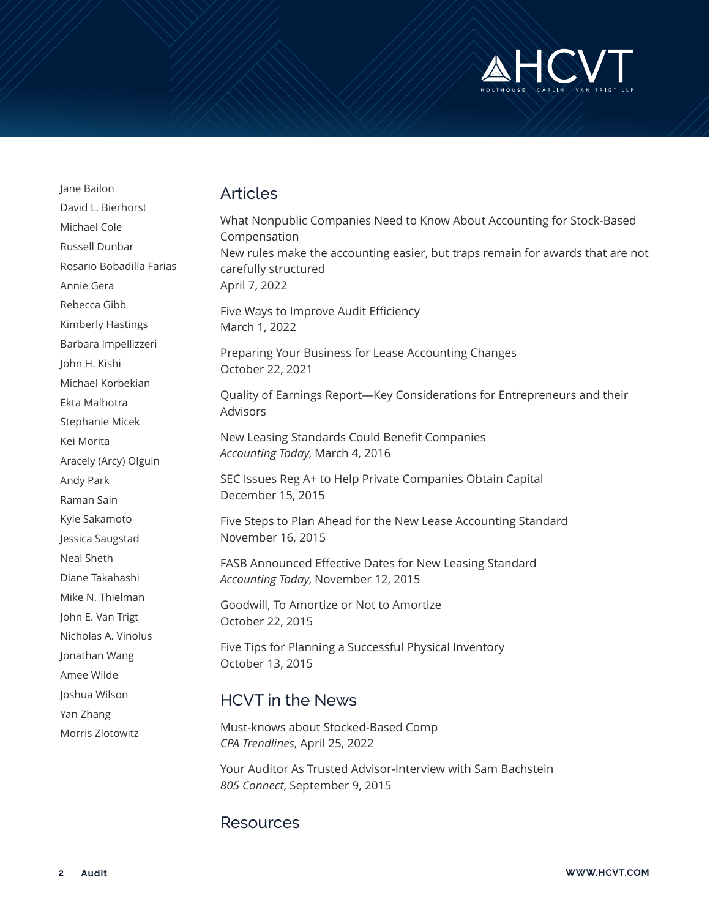

Jane Bailon David L. Bierhorst Michael Cole Russell Dunbar Rosario Bobadilla Farias Annie Gera Rebecca Gibb Kimberly Hastings Barbara Impellizzeri John H. Kishi Michael Korbekian Ekta Malhotra Stephanie Micek Kei Morita Aracely (Arcy) Olguin Andy Park Raman Sain Kyle Sakamoto Jessica Saugstad Neal Sheth Diane Takahashi Mike N. Thielman John E. Van Trigt Nicholas A. Vinolus Jonathan Wang Amee Wilde Joshua Wilson Yan Zhang Morris Zlotowitz

## Articles

What Nonpublic Companies Need to Know About Accounting for Stock-Based Compensation New rules make the accounting easier, but traps remain for awards that are not carefully structured April 7, 2022 Five Ways to Improve Audit Efficiency March 1, 2022 Preparing Your Business for Lease Accounting Changes October 22, 2021 Quality of Earnings Report—Key Considerations for Entrepreneurs and their Advisors New Leasing Standards Could Benefit Companies *Accounting Today*, March 4, 2016 SEC Issues Reg A+ to Help Private Companies Obtain Capital December 15, 2015 Five Steps to Plan Ahead for the New Lease Accounting Standard November 16, 2015 FASB Announced Effective Dates for New Leasing Standard *Accounting Today*, November 12, 2015 Goodwill, To Amortize or Not to Amortize October 22, 2015 Five Tips for Planning a Successful Physical Inventory October 13, 2015 HCVT in the News

Must-knows about Stocked-Based Comp *CPA Trendlines*, April 25, 2022

Your Auditor As Trusted Advisor-Interview with Sam Bachstein *805 Connect*, September 9, 2015

### Resources